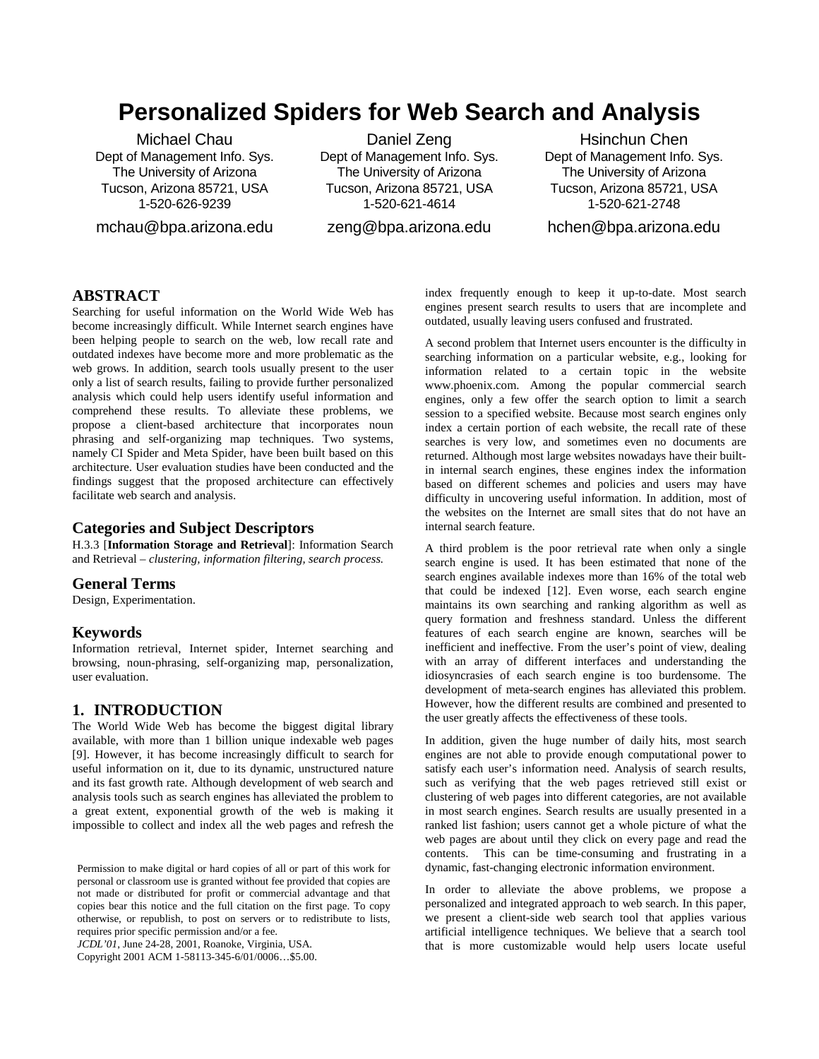# **Personalized Spiders for Web Search and Analysis**

Michael Chau Dept of Management Info. Sys. The University of Arizona Tucson, Arizona 85721, USA 1-520-626-9239

mchau@bpa.arizona.edu

Daniel Zeng Dept of Management Info. Sys. The University of Arizona Tucson, Arizona 85721, USA 1-520-621-4614

zeng@bpa.arizona.edu

Hsinchun Chen Dept of Management Info. Sys. The University of Arizona Tucson, Arizona 85721, USA 1-520-621-2748

hchen@bpa.arizona.edu

# **ABSTRACT**

Searching for useful information on the World Wide Web has become increasingly difficult. While Internet search engines have been helping people to search on the web, low recall rate and outdated indexes have become more and more problematic as the web grows. In addition, search tools usually present to the user only a list of search results, failing to provide further personalized analysis which could help users identify useful information and comprehend these results. To alleviate these problems, we propose a client-based architecture that incorporates noun phrasing and self-organizing map techniques. Two systems, namely CI Spider and Meta Spider, have been built based on this architecture. User evaluation studies have been conducted and the findings suggest that the proposed architecture can effectively facilitate web search and analysis.

#### **Categories and Subject Descriptors**

H.3.3 [**Information Storage and Retrieval**]: Information Search and Retrieval – *clustering, information filtering, search process.*

#### **General Terms**

Design, Experimentation.

#### **Keywords**

Information retrieval, Internet spider, Internet searching and browsing, noun-phrasing, self-organizing map, personalization, user evaluation.

#### **1. INTRODUCTION**

The World Wide Web has become the biggest digital library available, with more than 1 billion unique indexable web pages [9]. However, it has become increasingly difficult to search for useful information on it, due to its dynamic, unstructured nature and its fast growth rate. Although development of web search and analysis tools such as search engines has alleviated the problem to a great extent, exponential growth of the web is making it impossible to collect and index all the web pages and refresh the

Permission to make digital or hard copies of all or part of this work for personal or classroom use is granted without fee provided that copies are not made or distributed for profit or commercial advantage and that copies bear this notice and the full citation on the first page. To copy otherwise, or republish, to post on servers or to redistribute to lists, requires prior specific permission and/or a fee.

*JCDL'01*, June 24-28, 2001, Roanoke, Virginia, USA.

Copyright 2001 ACM 1-58113-345-6/01/0006…\$5.00.

index frequently enough to keep it up-to-date. Most search engines present search results to users that are incomplete and outdated, usually leaving users confused and frustrated.

A second problem that Internet users encounter is the difficulty in searching information on a particular website, e.g., looking for information related to a certain topic in the website www.phoenix.com. Among the popular commercial search engines, only a few offer the search option to limit a search session to a specified website. Because most search engines only index a certain portion of each website, the recall rate of these searches is very low, and sometimes even no documents are returned. Although most large websites nowadays have their builtin internal search engines, these engines index the information based on different schemes and policies and users may have difficulty in uncovering useful information. In addition, most of the websites on the Internet are small sites that do not have an internal search feature.

A third problem is the poor retrieval rate when only a single search engine is used. It has been estimated that none of the search engines available indexes more than 16% of the total web that could be indexed [12]. Even worse, each search engine maintains its own searching and ranking algorithm as well as query formation and freshness standard. Unless the different features of each search engine are known, searches will be inefficient and ineffective. From the user's point of view, dealing with an array of different interfaces and understanding the idiosyncrasies of each search engine is too burdensome. The development of meta-search engines has alleviated this problem. However, how the different results are combined and presented to the user greatly affects the effectiveness of these tools.

In addition, given the huge number of daily hits, most search engines are not able to provide enough computational power to satisfy each user's information need. Analysis of search results, such as verifying that the web pages retrieved still exist or clustering of web pages into different categories, are not available in most search engines. Search results are usually presented in a ranked list fashion; users cannot get a whole picture of what the web pages are about until they click on every page and read the contents. This can be time-consuming and frustrating in a dynamic, fast-changing electronic information environment.

In order to alleviate the above problems, we propose a personalized and integrated approach to web search. In this paper, we present a client-side web search tool that applies various artificial intelligence techniques. We believe that a search tool that is more customizable would help users locate useful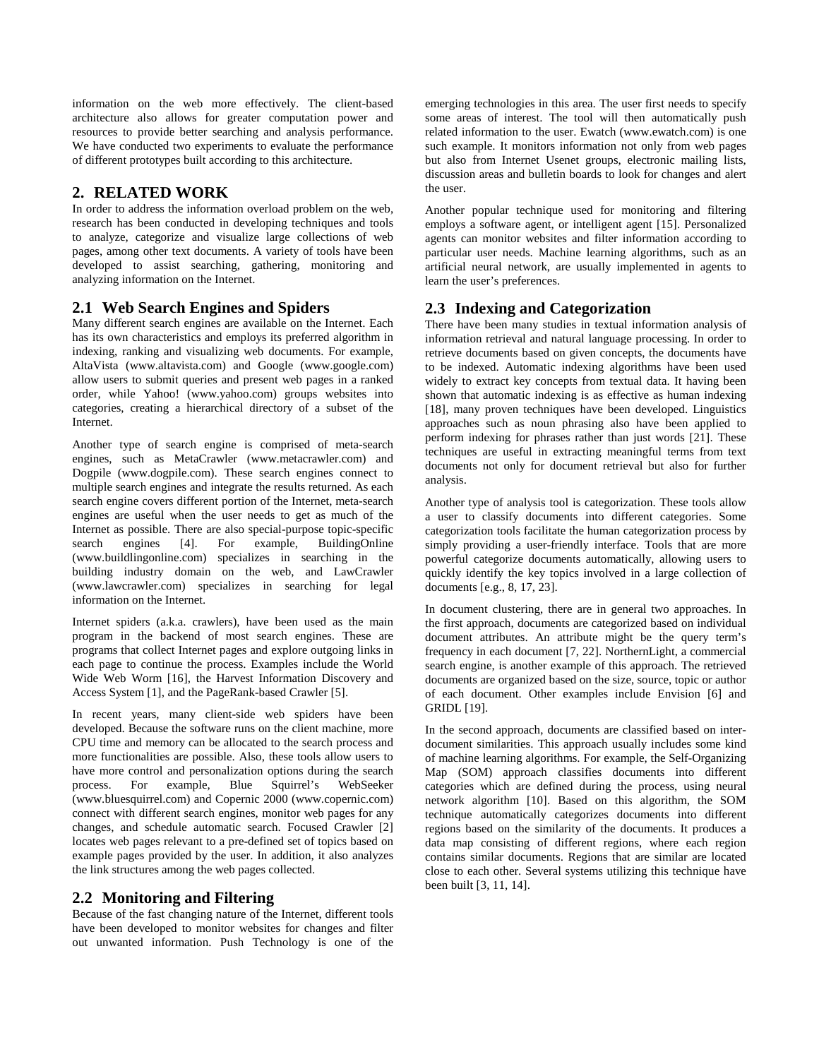information on the web more effectively. The client-based architecture also allows for greater computation power and resources to provide better searching and analysis performance. We have conducted two experiments to evaluate the performance of different prototypes built according to this architecture.

# **2. RELATED WORK**

In order to address the information overload problem on the web, research has been conducted in developing techniques and tools to analyze, categorize and visualize large collections of web pages, among other text documents. A variety of tools have been developed to assist searching, gathering, monitoring and analyzing information on the Internet.

# **2.1 Web Search Engines and Spiders**

Many different search engines are available on the Internet. Each has its own characteristics and employs its preferred algorithm in indexing, ranking and visualizing web documents. For example, AltaVista (www.altavista.com) and Google (www.google.com) allow users to submit queries and present web pages in a ranked order, while Yahoo! (www.yahoo.com) groups websites into categories, creating a hierarchical directory of a subset of the Internet.

Another type of search engine is comprised of meta-search engines, such as MetaCrawler (www.metacrawler.com) and Dogpile (www.dogpile.com). These search engines connect to multiple search engines and integrate the results returned. As each search engine covers different portion of the Internet, meta-search engines are useful when the user needs to get as much of the Internet as possible. There are also special-purpose topic-specific search engines [4]. For example, BuildingOnline (www.buildlingonline.com) specializes in searching in the building industry domain on the web, and LawCrawler (www.lawcrawler.com) specializes in searching for legal information on the Internet.

Internet spiders (a.k.a. crawlers), have been used as the main program in the backend of most search engines. These are programs that collect Internet pages and explore outgoing links in each page to continue the process. Examples include the World Wide Web Worm [16], the Harvest Information Discovery and Access System [1], and the PageRank-based Crawler [5].

In recent years, many client-side web spiders have been developed. Because the software runs on the client machine, more CPU time and memory can be allocated to the search process and more functionalities are possible. Also, these tools allow users to have more control and personalization options during the search process. For example, Blue Squirrel's WebSeeker (www.bluesquirrel.com) and Copernic 2000 (www.copernic.com) connect with different search engines, monitor web pages for any changes, and schedule automatic search. Focused Crawler [2] locates web pages relevant to a pre-defined set of topics based on example pages provided by the user. In addition, it also analyzes the link structures among the web pages collected.

# **2.2 Monitoring and Filtering**

Because of the fast changing nature of the Internet, different tools have been developed to monitor websites for changes and filter out unwanted information. Push Technology is one of the emerging technologies in this area. The user first needs to specify some areas of interest. The tool will then automatically push related information to the user. Ewatch (www.ewatch.com) is one such example. It monitors information not only from web pages but also from Internet Usenet groups, electronic mailing lists, discussion areas and bulletin boards to look for changes and alert the user.

Another popular technique used for monitoring and filtering employs a software agent, or intelligent agent [15]. Personalized agents can monitor websites and filter information according to particular user needs. Machine learning algorithms, such as an artificial neural network, are usually implemented in agents to learn the user's preferences.

# **2.3 Indexing and Categorization**

There have been many studies in textual information analysis of information retrieval and natural language processing. In order to retrieve documents based on given concepts, the documents have to be indexed. Automatic indexing algorithms have been used widely to extract key concepts from textual data. It having been shown that automatic indexing is as effective as human indexing [18], many proven techniques have been developed. Linguistics approaches such as noun phrasing also have been applied to perform indexing for phrases rather than just words [21]. These techniques are useful in extracting meaningful terms from text documents not only for document retrieval but also for further analysis.

Another type of analysis tool is categorization. These tools allow a user to classify documents into different categories. Some categorization tools facilitate the human categorization process by simply providing a user-friendly interface. Tools that are more powerful categorize documents automatically, allowing users to quickly identify the key topics involved in a large collection of documents [e.g., 8, 17, 23].

In document clustering, there are in general two approaches. In the first approach, documents are categorized based on individual document attributes. An attribute might be the query term's frequency in each document [7, 22]. NorthernLight, a commercial search engine, is another example of this approach. The retrieved documents are organized based on the size, source, topic or author of each document. Other examples include Envision [6] and GRIDL [19].

In the second approach, documents are classified based on interdocument similarities. This approach usually includes some kind of machine learning algorithms. For example, the Self-Organizing Map (SOM) approach classifies documents into different categories which are defined during the process, using neural network algorithm [10]. Based on this algorithm, the SOM technique automatically categorizes documents into different regions based on the similarity of the documents. It produces a data map consisting of different regions, where each region contains similar documents. Regions that are similar are located close to each other. Several systems utilizing this technique have been built [3, 11, 14].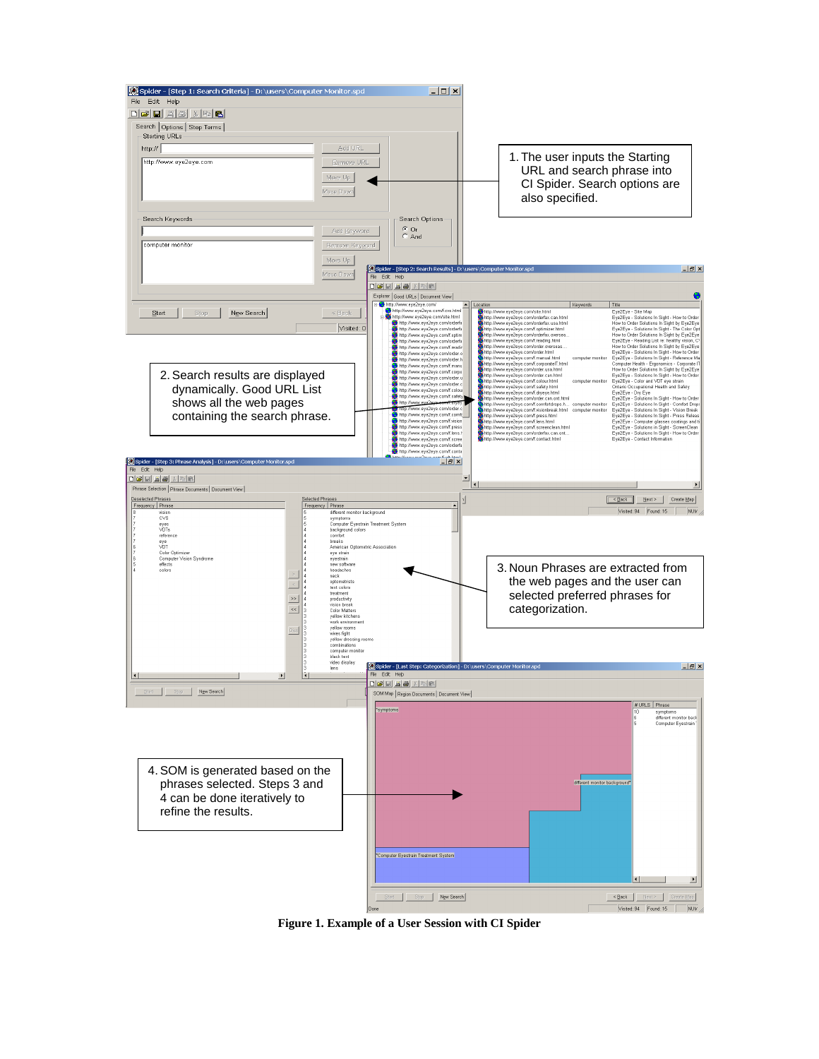

**Figure 1. Example of a User Session with CI Spider**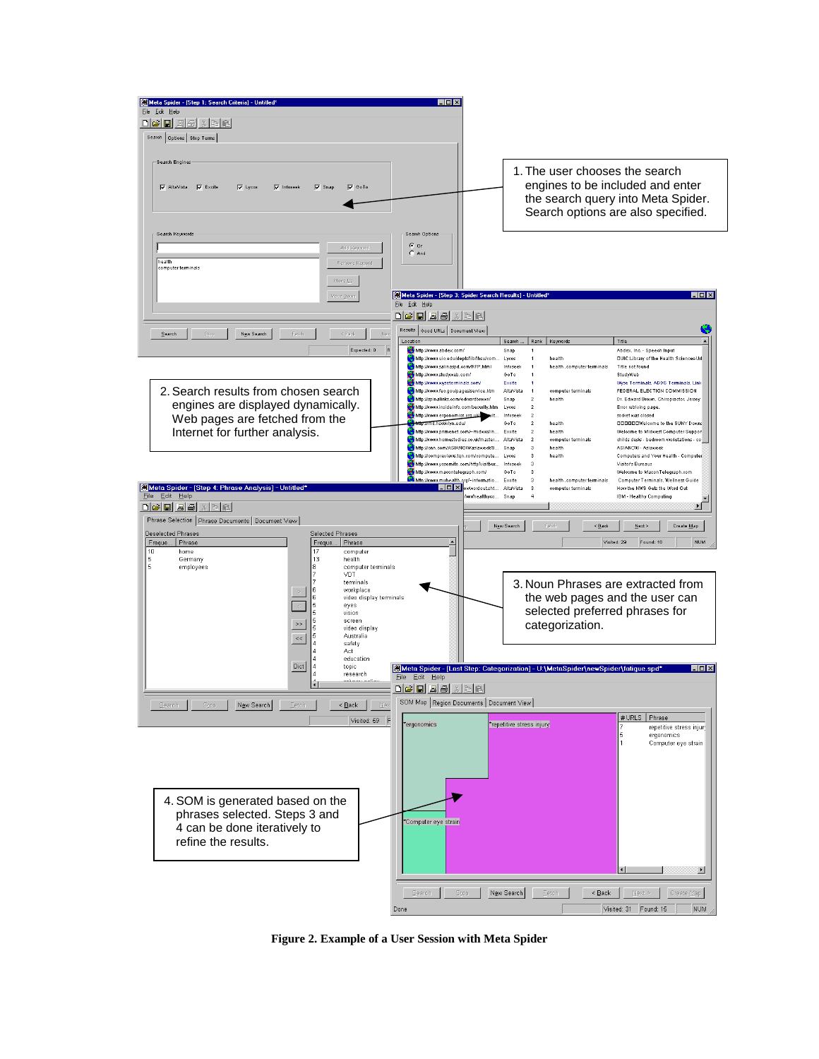

**Figure 2. Example of a User Session with Meta Spider**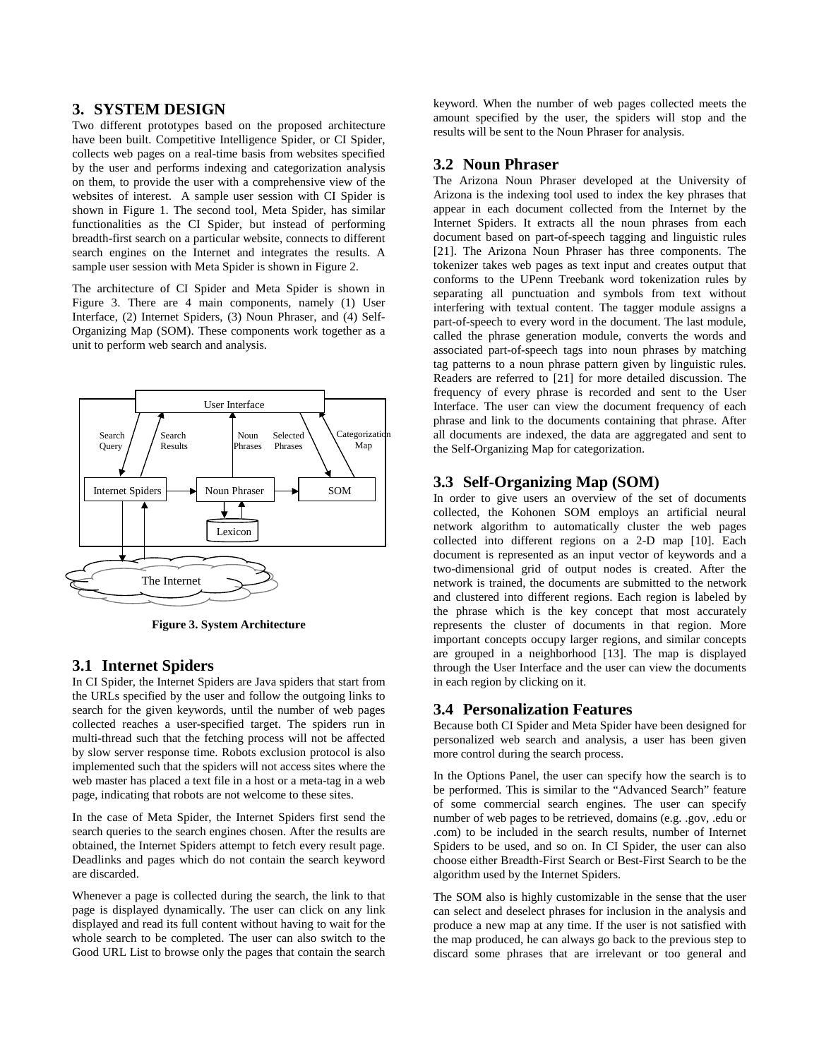# **3. SYSTEM DESIGN**

Two different prototypes based on the proposed architecture have been built. Competitive Intelligence Spider, or CI Spider, collects web pages on a real-time basis from websites specified by the user and performs indexing and categorization analysis on them, to provide the user with a comprehensive view of the websites of interest. A sample user session with CI Spider is shown in Figure 1. The second tool, Meta Spider, has similar functionalities as the CI Spider, but instead of performing breadth-first search on a particular website, connects to different search engines on the Internet and integrates the results. A sample user session with Meta Spider is shown in Figure 2.

The architecture of CI Spider and Meta Spider is shown in Figure 3. There are 4 main components, namely (1) User Interface, (2) Internet Spiders, (3) Noun Phraser, and (4) Self-Organizing Map (SOM). These components work together as a unit to perform web search and analysis.



**Figure 3. System Architecture** 

# **3.1 Internet Spiders**

In CI Spider, the Internet Spiders are Java spiders that start from the URLs specified by the user and follow the outgoing links to search for the given keywords, until the number of web pages collected reaches a user-specified target. The spiders run in multi-thread such that the fetching process will not be affected by slow server response time. Robots exclusion protocol is also implemented such that the spiders will not access sites where the web master has placed a text file in a host or a meta-tag in a web page, indicating that robots are not welcome to these sites.

In the case of Meta Spider, the Internet Spiders first send the search queries to the search engines chosen. After the results are obtained, the Internet Spiders attempt to fetch every result page. Deadlinks and pages which do not contain the search keyword are discarded.

Whenever a page is collected during the search, the link to that page is displayed dynamically. The user can click on any link displayed and read its full content without having to wait for the whole search to be completed. The user can also switch to the Good URL List to browse only the pages that contain the search keyword. When the number of web pages collected meets the amount specified by the user, the spiders will stop and the results will be sent to the Noun Phraser for analysis.

#### **3.2 Noun Phraser**

The Arizona Noun Phraser developed at the University of Arizona is the indexing tool used to index the key phrases that appear in each document collected from the Internet by the Internet Spiders. It extracts all the noun phrases from each document based on part-of-speech tagging and linguistic rules [21]. The Arizona Noun Phraser has three components. The tokenizer takes web pages as text input and creates output that conforms to the UPenn Treebank word tokenization rules by separating all punctuation and symbols from text without interfering with textual content. The tagger module assigns a part-of-speech to every word in the document. The last module, called the phrase generation module, converts the words and associated part-of-speech tags into noun phrases by matching tag patterns to a noun phrase pattern given by linguistic rules. Readers are referred to [21] for more detailed discussion. The frequency of every phrase is recorded and sent to the User Interface. The user can view the document frequency of each phrase and link to the documents containing that phrase. After all documents are indexed, the data are aggregated and sent to the Self-Organizing Map for categorization.

# **3.3 Self-Organizing Map (SOM)**

In order to give users an overview of the set of documents collected, the Kohonen SOM employs an artificial neural network algorithm to automatically cluster the web pages collected into different regions on a 2-D map [10]. Each document is represented as an input vector of keywords and a two-dimensional grid of output nodes is created. After the network is trained, the documents are submitted to the network and clustered into different regions. Each region is labeled by the phrase which is the key concept that most accurately represents the cluster of documents in that region. More important concepts occupy larger regions, and similar concepts are grouped in a neighborhood [13]. The map is displayed through the User Interface and the user can view the documents in each region by clicking on it.

# **3.4 Personalization Features**

Because both CI Spider and Meta Spider have been designed for personalized web search and analysis, a user has been given more control during the search process.

In the Options Panel, the user can specify how the search is to be performed. This is similar to the "Advanced Search" feature of some commercial search engines. The user can specify number of web pages to be retrieved, domains (e.g. .gov, .edu or .com) to be included in the search results, number of Internet Spiders to be used, and so on. In CI Spider, the user can also choose either Breadth-First Search or Best-First Search to be the algorithm used by the Internet Spiders.

The SOM also is highly customizable in the sense that the user can select and deselect phrases for inclusion in the analysis and produce a new map at any time. If the user is not satisfied with the map produced, he can always go back to the previous step to discard some phrases that are irrelevant or too general and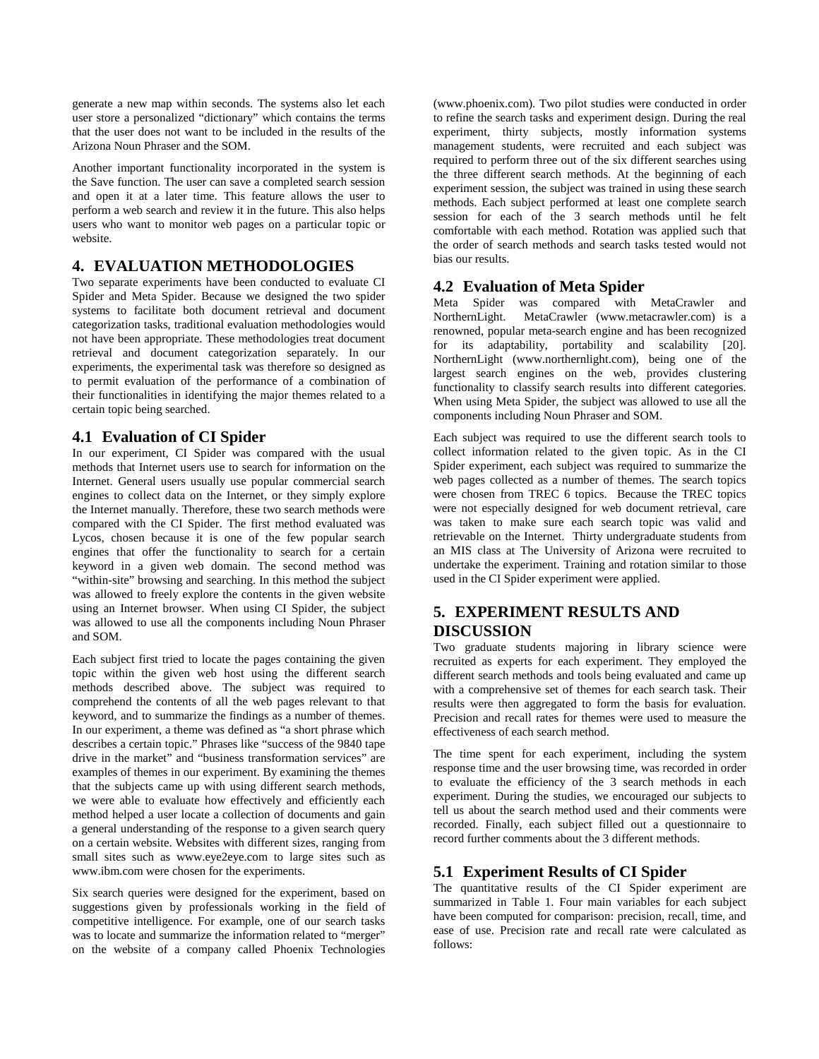generate a new map within seconds. The systems also let each user store a personalized "dictionary" which contains the terms that the user does not want to be included in the results of the Arizona Noun Phraser and the SOM.

Another important functionality incorporated in the system is the Save function. The user can save a completed search session and open it at a later time. This feature allows the user to perform a web search and review it in the future. This also helps users who want to monitor web pages on a particular topic or website.

# **4. EVALUATION METHODOLOGIES**

Two separate experiments have been conducted to evaluate CI Spider and Meta Spider. Because we designed the two spider systems to facilitate both document retrieval and document categorization tasks, traditional evaluation methodologies would not have been appropriate. These methodologies treat document retrieval and document categorization separately. In our experiments, the experimental task was therefore so designed as to permit evaluation of the performance of a combination of their functionalities in identifying the major themes related to a certain topic being searched.

# **4.1 Evaluation of CI Spider**

In our experiment, CI Spider was compared with the usual methods that Internet users use to search for information on the Internet. General users usually use popular commercial search engines to collect data on the Internet, or they simply explore the Internet manually. Therefore, these two search methods were compared with the CI Spider. The first method evaluated was Lycos, chosen because it is one of the few popular search engines that offer the functionality to search for a certain keyword in a given web domain. The second method was "within-site" browsing and searching. In this method the subject was allowed to freely explore the contents in the given website using an Internet browser. When using CI Spider, the subject was allowed to use all the components including Noun Phraser and SOM.

Each subject first tried to locate the pages containing the given topic within the given web host using the different search methods described above. The subject was required to comprehend the contents of all the web pages relevant to that keyword, and to summarize the findings as a number of themes. In our experiment, a theme was defined as "a short phrase which describes a certain topic." Phrases like "success of the 9840 tape drive in the market" and "business transformation services" are examples of themes in our experiment. By examining the themes that the subjects came up with using different search methods, we were able to evaluate how effectively and efficiently each method helped a user locate a collection of documents and gain a general understanding of the response to a given search query on a certain website. Websites with different sizes, ranging from small sites such as www.eye2eye.com to large sites such as www.ibm.com were chosen for the experiments.

Six search queries were designed for the experiment, based on suggestions given by professionals working in the field of competitive intelligence. For example, one of our search tasks was to locate and summarize the information related to "merger" on the website of a company called Phoenix Technologies

(www.phoenix.com). Two pilot studies were conducted in order to refine the search tasks and experiment design. During the real experiment, thirty subjects, mostly information systems management students, were recruited and each subject was required to perform three out of the six different searches using the three different search methods. At the beginning of each experiment session, the subject was trained in using these search methods. Each subject performed at least one complete search session for each of the 3 search methods until he felt comfortable with each method. Rotation was applied such that the order of search methods and search tasks tested would not bias our results.

# **4.2 Evaluation of Meta Spider**

Meta Spider was compared with MetaCrawler and NorthernLight. MetaCrawler (www.metacrawler.com) is a renowned, popular meta-search engine and has been recognized for its adaptability, portability and scalability [20]. NorthernLight (www.northernlight.com), being one of the largest search engines on the web, provides clustering functionality to classify search results into different categories. When using Meta Spider, the subject was allowed to use all the components including Noun Phraser and SOM.

Each subject was required to use the different search tools to collect information related to the given topic. As in the CI Spider experiment, each subject was required to summarize the web pages collected as a number of themes. The search topics were chosen from TREC 6 topics. Because the TREC topics were not especially designed for web document retrieval, care was taken to make sure each search topic was valid and retrievable on the Internet. Thirty undergraduate students from an MIS class at The University of Arizona were recruited to undertake the experiment. Training and rotation similar to those used in the CI Spider experiment were applied.

# **5. EXPERIMENT RESULTS AND DISCUSSION**

Two graduate students majoring in library science were recruited as experts for each experiment. They employed the different search methods and tools being evaluated and came up with a comprehensive set of themes for each search task. Their results were then aggregated to form the basis for evaluation. Precision and recall rates for themes were used to measure the effectiveness of each search method.

The time spent for each experiment, including the system response time and the user browsing time, was recorded in order to evaluate the efficiency of the 3 search methods in each experiment. During the studies, we encouraged our subjects to tell us about the search method used and their comments were recorded. Finally, each subject filled out a questionnaire to record further comments about the 3 different methods.

# **5.1 Experiment Results of CI Spider**

The quantitative results of the CI Spider experiment are summarized in Table 1. Four main variables for each subject have been computed for comparison: precision, recall, time, and ease of use. Precision rate and recall rate were calculated as follows: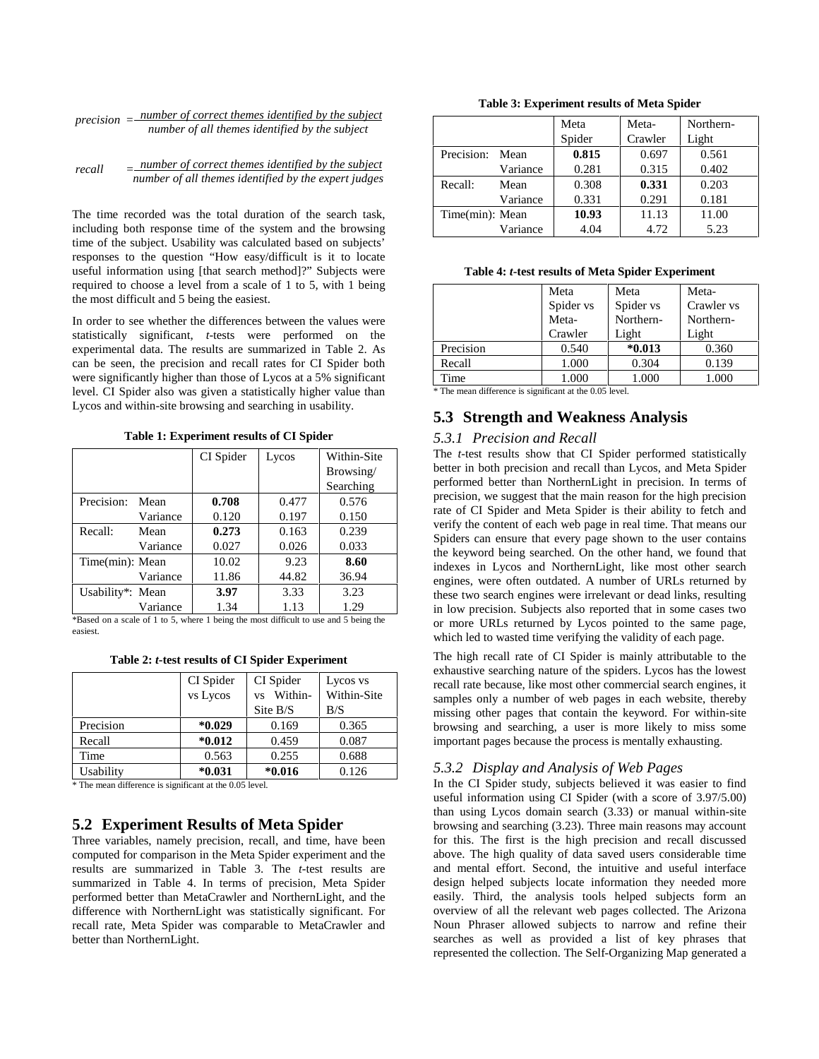| precision | number of correct themes identified by the subject |
|-----------|----------------------------------------------------|
|           | number of all themes identified by the subject     |

| recall | number of correct themes identified by the subject   |
|--------|------------------------------------------------------|
|        | number of all themes identified by the expert judges |

The time recorded was the total duration of the search task, including both response time of the system and the browsing time of the subject. Usability was calculated based on subjects' responses to the question "How easy/difficult is it to locate useful information using [that search method]?" Subjects were required to choose a level from a scale of 1 to 5, with 1 being the most difficult and 5 being the easiest.

In order to see whether the differences between the values were statistically significant, *t*-tests were performed on the experimental data. The results are summarized in Table 2. As can be seen, the precision and recall rates for CI Spider both were significantly higher than those of Lycos at a 5% significant level. CI Spider also was given a statistically higher value than Lycos and within-site browsing and searching in usability.

**Table 1: Experiment results of CI Spider** 

|                  |          | CI Spider | Lycos | Within-Site |
|------------------|----------|-----------|-------|-------------|
|                  |          |           |       | Browsing/   |
|                  |          |           |       | Searching   |
| Precision:       | Mean     | 0.708     | 0.477 | 0.576       |
|                  | Variance | 0.120     | 0.197 | 0.150       |
| Recall:          | Mean     | 0.273     | 0.163 | 0.239       |
|                  | Variance | 0.027     | 0.026 | 0.033       |
| Time(min): Mean  |          | 10.02     | 9.23  | 8.60        |
|                  | Variance | 11.86     | 44.82 | 36.94       |
| Usability*: Mean |          | 3.97      | 3.33  | 3.23        |
|                  | Variance | 1.34      | 1.13  | 1.29        |

\*Based on a scale of 1 to 5, where 1 being the most difficult to use and 5 being the easiest.

**Table 2:** *t***-test results of CI Spider Experiment** 

|           | CI Spider<br>vs Lycos | CI Spider<br>Within-<br><b>VS</b><br>Site $B/S$ | Lycos vs<br>Within-Site<br>B/S |
|-----------|-----------------------|-------------------------------------------------|--------------------------------|
| Precision | $*0.029$              | 0.169                                           | 0.365                          |
| Recall    | $*0.012$              | 0.459                                           | 0.087                          |
| Time      | 0.563                 | 0.255                                           | 0.688                          |
| Usability | $*0.031$              | $*0.016$                                        | 0.126                          |

\* The mean difference is significant at the 0.05 level.

# **5.2 Experiment Results of Meta Spider**

Three variables, namely precision, recall, and time, have been computed for comparison in the Meta Spider experiment and the results are summarized in Table 3. The *t-*test results are summarized in Table 4. In terms of precision, Meta Spider performed better than MetaCrawler and NorthernLight, and the difference with NorthernLight was statistically significant. For recall rate, Meta Spider was comparable to MetaCrawler and better than NorthernLight.

**Table 3: Experiment results of Meta Spider** 

|                 |          | Meta   | Meta-   | Northern- |
|-----------------|----------|--------|---------|-----------|
|                 |          | Spider | Crawler | Light     |
| Precision:      | Mean     | 0.815  | 0.697   | 0.561     |
|                 | Variance | 0.281  | 0.315   | 0.402     |
| Recall:         | Mean     | 0.308  | 0.331   | 0.203     |
|                 | Variance | 0.331  | 0.291   | 0.181     |
| Time(min): Mean |          | 10.93  | 11.13   | 11.00     |
|                 | Variance | 4.04   | 4.72    | 5.23      |

| Table 4: t-test results of Meta Spider Experiment |  |  |  |  |
|---------------------------------------------------|--|--|--|--|
|---------------------------------------------------|--|--|--|--|

|           | Meta      | Meta      | Meta-      |
|-----------|-----------|-----------|------------|
|           | Spider vs | Spider vs | Crawler vs |
|           | Meta-     | Northern- | Northern-  |
|           | Crawler   | Light     | Light      |
| Precision | 0.540     | $*0.013$  | 0.360      |
| Recall    | 1.000     | 0.304     | 0.139      |
| Time      | 1.000     | 1.000     | 1.000      |

\* The mean difference is significant at the 0.05 level.

# **5.3 Strength and Weakness Analysis**

#### *5.3.1 Precision and Recall*

The *t*-test results show that CI Spider performed statistically better in both precision and recall than Lycos, and Meta Spider performed better than NorthernLight in precision. In terms of precision, we suggest that the main reason for the high precision rate of CI Spider and Meta Spider is their ability to fetch and verify the content of each web page in real time. That means our Spiders can ensure that every page shown to the user contains the keyword being searched. On the other hand, we found that indexes in Lycos and NorthernLight, like most other search engines, were often outdated. A number of URLs returned by these two search engines were irrelevant or dead links, resulting in low precision. Subjects also reported that in some cases two or more URLs returned by Lycos pointed to the same page, which led to wasted time verifying the validity of each page.

The high recall rate of CI Spider is mainly attributable to the exhaustive searching nature of the spiders. Lycos has the lowest recall rate because, like most other commercial search engines, it samples only a number of web pages in each website, thereby missing other pages that contain the keyword. For within-site browsing and searching, a user is more likely to miss some important pages because the process is mentally exhausting.

#### *5.3.2 Display and Analysis of Web Pages*

In the CI Spider study, subjects believed it was easier to find useful information using CI Spider (with a score of 3.97/5.00) than using Lycos domain search (3.33) or manual within-site browsing and searching (3.23). Three main reasons may account for this. The first is the high precision and recall discussed above. The high quality of data saved users considerable time and mental effort. Second, the intuitive and useful interface design helped subjects locate information they needed more easily. Third, the analysis tools helped subjects form an overview of all the relevant web pages collected. The Arizona Noun Phraser allowed subjects to narrow and refine their searches as well as provided a list of key phrases that represented the collection. The Self-Organizing Map generated a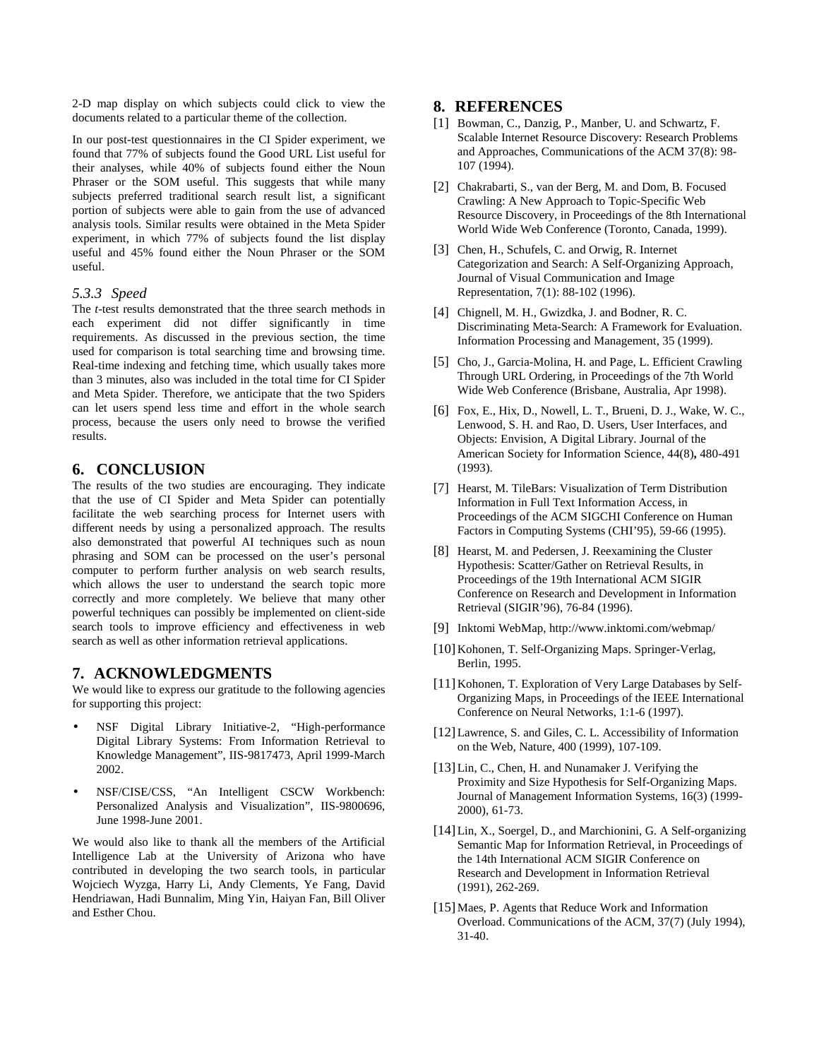2-D map display on which subjects could click to view the documents related to a particular theme of the collection.

In our post-test questionnaires in the CI Spider experiment, we found that 77% of subjects found the Good URL List useful for their analyses, while 40% of subjects found either the Noun Phraser or the SOM useful. This suggests that while many subjects preferred traditional search result list, a significant portion of subjects were able to gain from the use of advanced analysis tools. Similar results were obtained in the Meta Spider experiment, in which 77% of subjects found the list display useful and 45% found either the Noun Phraser or the SOM useful.

#### *5.3.3 Speed*

The *t*-test results demonstrated that the three search methods in each experiment did not differ significantly in time requirements. As discussed in the previous section, the time used for comparison is total searching time and browsing time. Real-time indexing and fetching time, which usually takes more than 3 minutes, also was included in the total time for CI Spider and Meta Spider. Therefore, we anticipate that the two Spiders can let users spend less time and effort in the whole search process, because the users only need to browse the verified results.

#### **6. CONCLUSION**

The results of the two studies are encouraging. They indicate that the use of CI Spider and Meta Spider can potentially facilitate the web searching process for Internet users with different needs by using a personalized approach. The results also demonstrated that powerful AI techniques such as noun phrasing and SOM can be processed on the user's personal computer to perform further analysis on web search results, which allows the user to understand the search topic more correctly and more completely. We believe that many other powerful techniques can possibly be implemented on client-side search tools to improve efficiency and effectiveness in web search as well as other information retrieval applications.

#### **7. ACKNOWLEDGMENTS**

We would like to express our gratitude to the following agencies for supporting this project:

- NSF Digital Library Initiative-2, "High-performance Digital Library Systems: From Information Retrieval to Knowledge Management", IIS-9817473, April 1999-March 2002.
- NSF/CISE/CSS, "An Intelligent CSCW Workbench: Personalized Analysis and Visualization", IIS-9800696, June 1998-June 2001.

We would also like to thank all the members of the Artificial Intelligence Lab at the University of Arizona who have contributed in developing the two search tools, in particular Wojciech Wyzga, Harry Li, Andy Clements, Ye Fang, David Hendriawan, Hadi Bunnalim, Ming Yin, Haiyan Fan, Bill Oliver and Esther Chou.

#### **8. REFERENCES**

- [1] Bowman, C., Danzig, P., Manber, U. and Schwartz, F. Scalable Internet Resource Discovery: Research Problems and Approaches, Communications of the ACM 37(8): 98- 107 (1994).
- [2] Chakrabarti, S., van der Berg, M. and Dom, B. Focused Crawling: A New Approach to Topic-Specific Web Resource Discovery, in Proceedings of the 8th International World Wide Web Conference (Toronto, Canada, 1999).
- [3] Chen, H., Schufels, C. and Orwig, R. Internet Categorization and Search: A Self-Organizing Approach, Journal of Visual Communication and Image Representation, 7(1): 88-102 (1996).
- [4] Chignell, M. H., Gwizdka, J. and Bodner, R. C. Discriminating Meta-Search: A Framework for Evaluation. Information Processing and Management, 35 (1999).
- [5] Cho, J., Garcia-Molina, H. and Page, L. Efficient Crawling Through URL Ordering, in Proceedings of the 7th World Wide Web Conference (Brisbane, Australia, Apr 1998).
- [6] Fox, E., Hix, D., Nowell, L. T., Brueni, D. J., Wake, W. C., Lenwood, S. H. and Rao, D. Users, User Interfaces, and Objects: Envision, A Digital Library. Journal of the American Society for Information Science, 44(8)**,** 480-491 (1993).
- [7] Hearst, M. TileBars: Visualization of Term Distribution Information in Full Text Information Access, in Proceedings of the ACM SIGCHI Conference on Human Factors in Computing Systems (CHI'95), 59-66 (1995).
- [8] Hearst, M. and Pedersen, J. Reexamining the Cluster Hypothesis: Scatter/Gather on Retrieval Results, in Proceedings of the 19th International ACM SIGIR Conference on Research and Development in Information Retrieval (SIGIR'96), 76-84 (1996).
- [9] Inktomi WebMap, http://www.inktomi.com/webmap/
- [10] Kohonen, T. Self-Organizing Maps. Springer-Verlag, Berlin, 1995.
- [11] Kohonen, T. Exploration of Very Large Databases by Self-Organizing Maps, in Proceedings of the IEEE International Conference on Neural Networks, 1:1-6 (1997).
- [12] Lawrence, S. and Giles, C. L. Accessibility of Information on the Web, Nature, 400 (1999), 107-109.
- [13] Lin, C., Chen, H. and Nunamaker J. Verifying the Proximity and Size Hypothesis for Self-Organizing Maps. Journal of Management Information Systems, 16(3) (1999- 2000), 61-73.
- [14] Lin, X., Soergel, D., and Marchionini, G. A Self-organizing Semantic Map for Information Retrieval, in Proceedings of the 14th International ACM SIGIR Conference on Research and Development in Information Retrieval (1991), 262-269.
- [15] Maes, P. Agents that Reduce Work and Information Overload. Communications of the ACM, 37(7) (July 1994), 31-40.